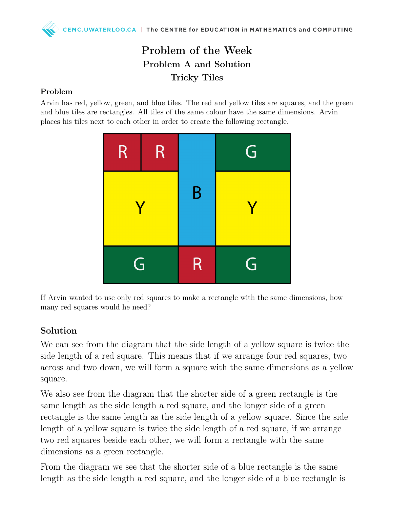## Problem of the Week Problem A and Solution Tricky Tiles

## Problem

Arvin has red, yellow, green, and blue tiles. The red and yellow tiles are squares, and the green and blue tiles are rectangles. All tiles of the same colour have the same dimensions. Arvin places his tiles next to each other in order to create the following rectangle.



If Arvin wanted to use only red squares to make a rectangle with the same dimensions, how many red squares would he need?

## Solution

We can see from the diagram that the side length of a yellow square is twice the side length of a red square. This means that if we arrange four red squares, two across and two down, we will form a square with the same dimensions as a yellow square.

We also see from the diagram that the shorter side of a green rectangle is the same length as the side length a red square, and the longer side of a green rectangle is the same length as the side length of a yellow square. Since the side length of a yellow square is twice the side length of a red square, if we arrange two red squares beside each other, we will form a rectangle with the same dimensions as a green rectangle.

From the diagram we see that the shorter side of a blue rectangle is the same length as the side length a red square, and the longer side of a blue rectangle is